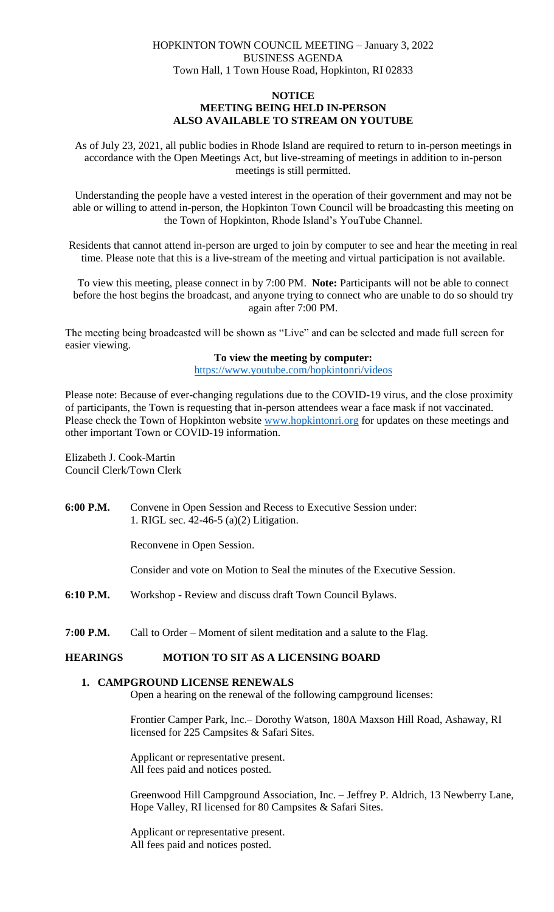## HOPKINTON TOWN COUNCIL MEETING – January 3, 2022 BUSINESS AGENDA Town Hall, 1 Town House Road, Hopkinton, RI 02833

### **NOTICE**

### **MEETING BEING HELD IN-PERSON ALSO AVAILABLE TO STREAM ON YOUTUBE**

As of July 23, 2021, all public bodies in Rhode Island are required to return to in-person meetings in accordance with the Open Meetings Act, but live-streaming of meetings in addition to in-person meetings is still permitted.

Understanding the people have a vested interest in the operation of their government and may not be able or willing to attend in-person, the Hopkinton Town Council will be broadcasting this meeting on the Town of Hopkinton, Rhode Island's YouTube Channel.

Residents that cannot attend in-person are urged to join by computer to see and hear the meeting in real time. Please note that this is a live-stream of the meeting and virtual participation is not available.

To view this meeting, please connect in by 7:00 PM. **Note:** Participants will not be able to connect before the host begins the broadcast, and anyone trying to connect who are unable to do so should try again after 7:00 PM.

The meeting being broadcasted will be shown as "Live" and can be selected and made full screen for easier viewing.

### **To view the meeting by computer:**

<https://www.youtube.com/hopkintonri/videos>

Please note: Because of ever-changing regulations due to the COVID-19 virus, and the close proximity of participants, the Town is requesting that in-person attendees wear a face mask if not vaccinated. Please check the Town of Hopkinton website [www.hopkintonri.org](http://www.hopkintonri.org/) for updates on these meetings and other important Town or COVID-19 information.

Elizabeth J. Cook-Martin Council Clerk/Town Clerk

**6:00 P.M.** Convene in Open Session and Recess to Executive Session under: 1. RIGL sec. 42-46-5 (a)(2) Litigation.

Reconvene in Open Session.

Consider and vote on Motion to Seal the minutes of the Executive Session.

- **6:10 P.M.** Workshop Review and discuss draft Town Council Bylaws.
- **7:00 P.M.** Call to Order Moment of silent meditation and a salute to the Flag.

## **HEARINGS MOTION TO SIT AS A LICENSING BOARD**

# **1. CAMPGROUND LICENSE RENEWALS**

Open a hearing on the renewal of the following campground licenses:

Frontier Camper Park, Inc.– Dorothy Watson, 180A Maxson Hill Road, Ashaway, RI licensed for 225 Campsites & Safari Sites.

Applicant or representative present. All fees paid and notices posted.

Greenwood Hill Campground Association, Inc. – Jeffrey P. Aldrich, 13 Newberry Lane, Hope Valley, RI licensed for 80 Campsites & Safari Sites.

Applicant or representative present. All fees paid and notices posted.